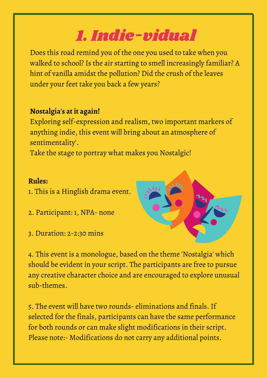## 1. Indie-vidual

Does this road remind you of the one you used to take when you walked to school? Is the air starting to smell increasingly familiar? A hint of vanilla amidst the pollution? Did the crush of the leaves under your feet take you back a few years?

## **Nostalgia's at it again!**

Exploring self-expression and realism, two important markers of anything indie, this event will bring about an atmosphere of sentimentality'.

Take the stage to portray what makes you Nostalgic!

## **Rules:**

1. This is a Hinglish drama event.

2. Participant: 1, NPA- none

3. Duration: 2-2:30 mins



4. This event is a monologue, based on the theme 'Nostalgia' which should be evident in your script. The participants are free to pursue any creative character choice and are encouraged to explore unusual sub-themes.

5. The event will have two rounds- eliminations and finals. If selected for the finals, participants can have the same performance for both rounds or can make slight modifications in their script. Please note:- Modifications do not carry any additional points.